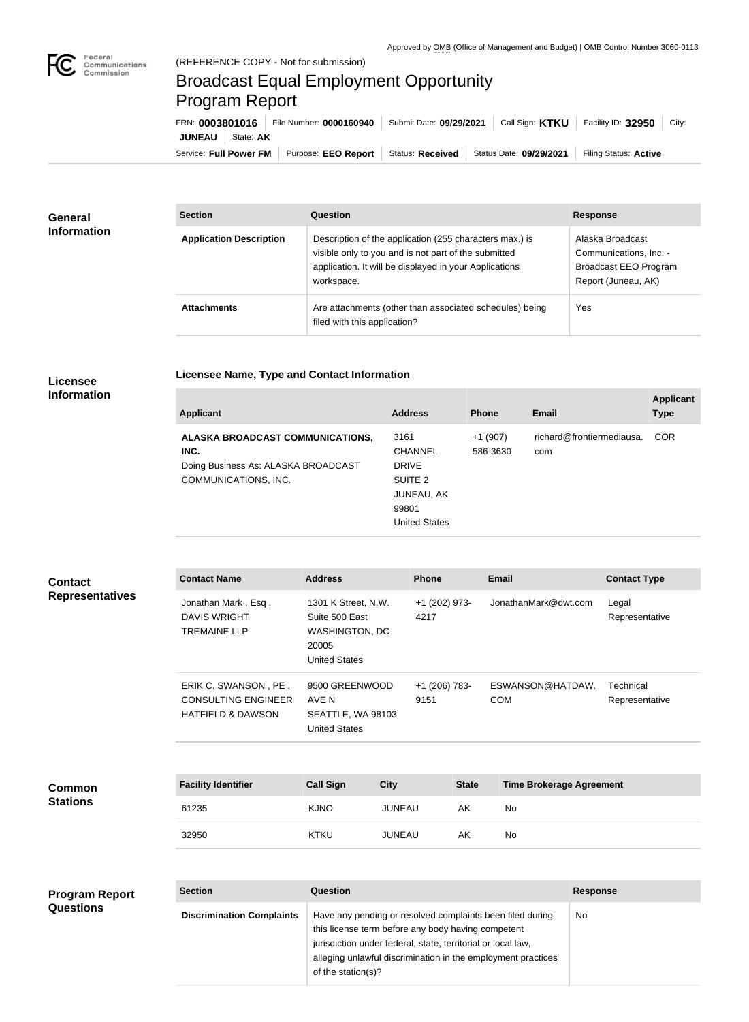

п

## Broadcast Equal Employment Opportunity Program Report

**Licensee Name, Type and Contact Information**

| FRN: 0003801016            | File Number: 0000160940    | Submit Date: 09/29/2021 | Call Sign: <b>KTKU</b>  | Facility ID: 32950<br>City: |
|----------------------------|----------------------------|-------------------------|-------------------------|-----------------------------|
| <b>JUNEAU</b><br>State: AK |                            |                         |                         |                             |
| Service: Full Power FM     | Purpose: <b>EEO Report</b> | <b>Status: Received</b> | Status Date: 09/29/2021 | Filing Status: Active       |

| <b>General</b><br><b>Information</b> | <b>Section</b>                 | <b>Question</b>                                                                                                                                                                         | <b>Response</b>                                                                                   |  |
|--------------------------------------|--------------------------------|-----------------------------------------------------------------------------------------------------------------------------------------------------------------------------------------|---------------------------------------------------------------------------------------------------|--|
|                                      | <b>Application Description</b> | Description of the application (255 characters max.) is<br>visible only to you and is not part of the submitted<br>application. It will be displayed in your Applications<br>workspace. | Alaska Broadcast<br>Communications, Inc. -<br><b>Broadcast EEO Program</b><br>Report (Juneau, AK) |  |
|                                      | <b>Attachments</b>             | Are attachments (other than associated schedules) being<br>filed with this application?                                                                                                 | Yes                                                                                               |  |

## **Licensee Information**

| <b>Applicant</b>                                                                                        | <b>Address</b>                                                                                          | <b>Phone</b>          | Email                            | <b>Applicant</b><br><b>Type</b> |
|---------------------------------------------------------------------------------------------------------|---------------------------------------------------------------------------------------------------------|-----------------------|----------------------------------|---------------------------------|
| ALASKA BROADCAST COMMUNICATIONS,<br>INC.<br>Doing Business As: ALASKA BROADCAST<br>COMMUNICATIONS, INC. | 3161<br><b>CHANNEL</b><br><b>DRIVE</b><br>SUITE 2<br><b>JUNEAU, AK</b><br>99801<br><b>United States</b> | $+1(907)$<br>586-3630 | richard@frontiermediausa.<br>com | COR                             |

| <b>Contact</b><br><b>Representatives</b>  | <b>Contact Name</b>                                                                | <b>Address</b>                                                                                                  |               | <b>Phone</b>                          |              | Email                           |                 | <b>Contact Type</b>         |
|-------------------------------------------|------------------------------------------------------------------------------------|-----------------------------------------------------------------------------------------------------------------|---------------|---------------------------------------|--------------|---------------------------------|-----------------|-----------------------------|
|                                           | Jonathan Mark, Esq.<br><b>DAVIS WRIGHT</b><br><b>TREMAINE LLP</b>                  | 1301 K Street, N.W.<br>Suite 500 East<br>4217<br>WASHINGTON, DC<br>20005<br><b>United States</b>                |               | +1 (202) 973-<br>JonathanMark@dwt.com |              | Legal<br>Representative         |                 |                             |
|                                           | ERIK C. SWANSON, PE.<br><b>CONSULTING ENGINEER</b><br><b>HATFIELD &amp; DAWSON</b> | 9500 GREENWOOD<br>AVE N<br>SEATTLE, WA 98103<br><b>United States</b>                                            |               | +1 (206) 783-<br>9151                 |              | ESWANSON@HATDAW.<br><b>COM</b>  |                 | Technical<br>Representative |
|                                           |                                                                                    |                                                                                                                 |               |                                       |              |                                 |                 |                             |
| Common<br><b>Stations</b>                 | <b>Facility Identifier</b>                                                         | <b>Call Sign</b>                                                                                                | <b>City</b>   |                                       | <b>State</b> | <b>Time Brokerage Agreement</b> |                 |                             |
|                                           | 61235                                                                              | <b>KJNO</b>                                                                                                     | <b>JUNEAU</b> |                                       | AK           | <b>No</b>                       |                 |                             |
|                                           | 32950                                                                              | <b>KTKU</b>                                                                                                     | <b>JUNEAU</b> |                                       | AK           | <b>No</b>                       |                 |                             |
|                                           |                                                                                    |                                                                                                                 |               |                                       |              |                                 |                 |                             |
| <b>Program Report</b><br><b>Questions</b> | <b>Section</b>                                                                     | <b>Question</b>                                                                                                 |               |                                       |              |                                 | <b>Response</b> |                             |
|                                           | <b>Discrimination Complaints</b>                                                   | Have any pending or resolved complaints been filed during<br>this license term before any body having competent |               |                                       |              | No                              |                 |                             |

of the station(s)?

jurisdiction under federal, state, territorial or local law,

alleging unlawful discrimination in the employment practices